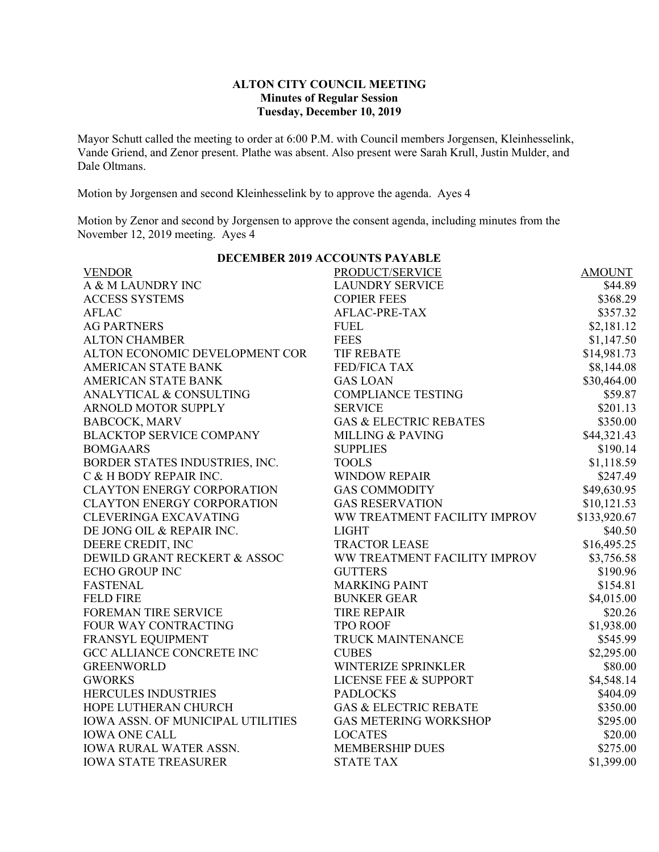## **ALTON CITY COUNCIL MEETING Minutes of Regular Session Tuesday, December 10, 2019**

Mayor Schutt called the meeting to order at 6:00 P.M. with Council members Jorgensen, Kleinhesselink, Vande Griend, and Zenor present. Plathe was absent. Also present were Sarah Krull, Justin Mulder, and Dale Oltmans.

Motion by Jorgensen and second Kleinhesselink by to approve the agenda. Ayes 4

Motion by Zenor and second by Jorgensen to approve the consent agenda, including minutes from the November 12, 2019 meeting. Ayes 4

| <b>DECEMBER 2019 ACCOUNTS PAYABLE</b> |              |  |  |  |  |  |
|---------------------------------------|--------------|--|--|--|--|--|
| PRODUCT/SERVICE                       | AMOUNT       |  |  |  |  |  |
| <b>LAUNDRY SERVICE</b>                | \$44.89      |  |  |  |  |  |
| <b>COPIER FEES</b>                    | \$368.29     |  |  |  |  |  |
| AFLAC-PRE-TAX                         | \$357.32     |  |  |  |  |  |
| <b>FUEL</b>                           | \$2,181.12   |  |  |  |  |  |
| <b>FEES</b>                           | \$1,147.50   |  |  |  |  |  |
| <b>TIF REBATE</b>                     | \$14,981.73  |  |  |  |  |  |
| <b>FED/FICA TAX</b>                   | \$8,144.08   |  |  |  |  |  |
| <b>GAS LOAN</b>                       | \$30,464.00  |  |  |  |  |  |
| <b>COMPLIANCE TESTING</b>             | \$59.87      |  |  |  |  |  |
| <b>SERVICE</b>                        | \$201.13     |  |  |  |  |  |
| <b>GAS &amp; ELECTRIC REBATES</b>     | \$350.00     |  |  |  |  |  |
| <b>MILLING &amp; PAVING</b>           | \$44,321.43  |  |  |  |  |  |
| <b>SUPPLIES</b>                       | \$190.14     |  |  |  |  |  |
| <b>TOOLS</b>                          | \$1,118.59   |  |  |  |  |  |
| <b>WINDOW REPAIR</b>                  | \$247.49     |  |  |  |  |  |
| <b>GAS COMMODITY</b>                  | \$49,630.95  |  |  |  |  |  |
| <b>GAS RESERVATION</b>                | \$10,121.53  |  |  |  |  |  |
| WW TREATMENT FACILITY IMPROV          | \$133,920.67 |  |  |  |  |  |
| <b>LIGHT</b>                          | \$40.50      |  |  |  |  |  |
| <b>TRACTOR LEASE</b>                  | \$16,495.25  |  |  |  |  |  |
| WW TREATMENT FACILITY IMPROV          | \$3,756.58   |  |  |  |  |  |
| <b>GUTTERS</b>                        | \$190.96     |  |  |  |  |  |
| <b>MARKING PAINT</b>                  | \$154.81     |  |  |  |  |  |
| <b>BUNKER GEAR</b>                    | \$4,015.00   |  |  |  |  |  |
| <b>TIRE REPAIR</b>                    | \$20.26      |  |  |  |  |  |
| <b>TPO ROOF</b>                       | \$1,938.00   |  |  |  |  |  |
| TRUCK MAINTENANCE                     | \$545.99     |  |  |  |  |  |
| <b>CUBES</b>                          | \$2,295.00   |  |  |  |  |  |
| WINTERIZE SPRINKLER                   | \$80.00      |  |  |  |  |  |
| <b>LICENSE FEE &amp; SUPPORT</b>      | \$4,548.14   |  |  |  |  |  |
| <b>PADLOCKS</b>                       | \$404.09     |  |  |  |  |  |
| <b>GAS &amp; ELECTRIC REBATE</b>      | \$350.00     |  |  |  |  |  |
| <b>GAS METERING WORKSHOP</b>          | \$295.00     |  |  |  |  |  |
| <b>LOCATES</b>                        | \$20.00      |  |  |  |  |  |
| <b>MEMBERSHIP DUES</b>                | \$275.00     |  |  |  |  |  |
| <b>STATE TAX</b>                      | \$1,399.00   |  |  |  |  |  |
|                                       |              |  |  |  |  |  |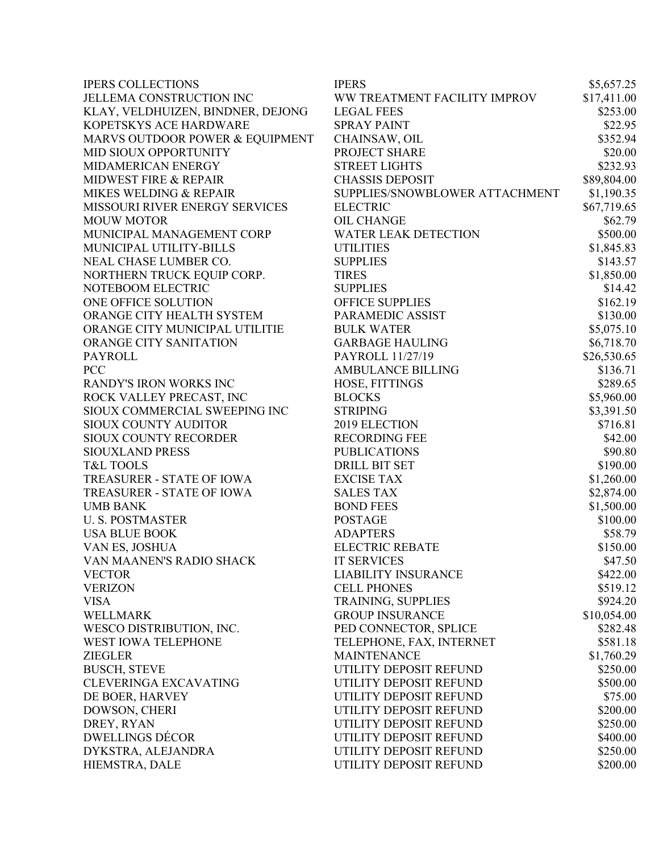| <b>IPERS COLLECTIONS</b>          | <b>IPERS</b>                              | \$5,657.25  |
|-----------------------------------|-------------------------------------------|-------------|
| JELLEMA CONSTRUCTION INC          | WW TREATMENT FACILITY IMPROV              | \$17,411.00 |
| KLAY, VELDHUIZEN, BINDNER, DEJONG | <b>LEGAL FEES</b>                         | \$253.00    |
| KOPETSKYS ACE HARDWARE            | <b>SPRAY PAINT</b>                        | \$22.95     |
| MARVS OUTDOOR POWER & EQUIPMENT   | CHAINSAW, OIL                             | \$352.94    |
| MID SIOUX OPPORTUNITY             | PROJECT SHARE                             | \$20.00     |
| MIDAMERICAN ENERGY                | <b>STREET LIGHTS</b>                      | \$232.93    |
| <b>MIDWEST FIRE &amp; REPAIR</b>  | <b>CHASSIS DEPOSIT</b>                    | \$89,804.00 |
| MIKES WELDING & REPAIR            | SUPPLIES/SNOWBLOWER ATTACHMENT            | \$1,190.35  |
| MISSOURI RIVER ENERGY SERVICES    | <b>ELECTRIC</b>                           | \$67,719.65 |
| <b>MOUW MOTOR</b>                 | <b>OIL CHANGE</b>                         | \$62.79     |
| MUNICIPAL MANAGEMENT CORP         | <b>WATER LEAK DETECTION</b>               | \$500.00    |
| MUNICIPAL UTILITY-BILLS           | <b>UTILITIES</b>                          | \$1,845.83  |
| NEAL CHASE LUMBER CO.             | <b>SUPPLIES</b>                           | \$143.57    |
| NORTHERN TRUCK EQUIP CORP.        | <b>TIRES</b>                              | \$1,850.00  |
| NOTEBOOM ELECTRIC                 | <b>SUPPLIES</b>                           | \$14.42     |
| ONE OFFICE SOLUTION               | <b>OFFICE SUPPLIES</b>                    | \$162.19    |
| ORANGE CITY HEALTH SYSTEM         | PARAMEDIC ASSIST                          | \$130.00    |
| ORANGE CITY MUNICIPAL UTILITIE    | <b>BULK WATER</b>                         | \$5,075.10  |
| ORANGE CITY SANITATION            | <b>GARBAGE HAULING</b>                    | \$6,718.70  |
| <b>PAYROLL</b>                    | PAYROLL 11/27/19                          | \$26,530.65 |
| <b>PCC</b>                        | <b>AMBULANCE BILLING</b>                  | \$136.71    |
| RANDY'S IRON WORKS INC            | HOSE, FITTINGS                            | \$289.65    |
| ROCK VALLEY PRECAST, INC          | <b>BLOCKS</b>                             | \$5,960.00  |
| SIOUX COMMERCIAL SWEEPING INC     | <b>STRIPING</b>                           | \$3,391.50  |
| SIOUX COUNTY AUDITOR              | 2019 ELECTION                             | \$716.81    |
| SIOUX COUNTY RECORDER             | <b>RECORDING FEE</b>                      | \$42.00     |
| SIOUXLAND PRESS                   | <b>PUBLICATIONS</b>                       | \$90.80     |
| <b>T&amp;L TOOLS</b>              | <b>DRILL BIT SET</b>                      | \$190.00    |
| TREASURER - STATE OF IOWA         | <b>EXCISE TAX</b>                         | \$1,260.00  |
| TREASURER - STATE OF IOWA         | <b>SALES TAX</b>                          |             |
|                                   |                                           | \$2,874.00  |
| <b>UMB BANK</b>                   | <b>BOND FEES</b>                          | \$1,500.00  |
| <b>U.S. POSTMASTER</b>            | <b>POSTAGE</b>                            | \$100.00    |
| <b>USA BLUE BOOK</b>              | <b>ADAPTERS</b><br><b>ELECTRIC REBATE</b> | \$58.79     |
| VAN ES, JOSHUA                    |                                           | \$150.00    |
| VAN MAANEN'S RADIO SHACK          | <b>IT SERVICES</b>                        | \$47.50     |
| <b>VECTOR</b>                     | <b>LIABILITY INSURANCE</b>                | \$422.00    |
| <b>VERIZON</b>                    | <b>CELL PHONES</b>                        | \$519.12    |
| <b>VISA</b>                       | TRAINING, SUPPLIES                        | \$924.20    |
| <b>WELLMARK</b>                   | <b>GROUP INSURANCE</b>                    | \$10,054.00 |
| WESCO DISTRIBUTION, INC.          | PED CONNECTOR, SPLICE                     | \$282.48    |
| <b>WEST IOWA TELEPHONE</b>        | TELEPHONE, FAX, INTERNET                  | \$581.18    |
| <b>ZIEGLER</b>                    | <b>MAINTENANCE</b>                        | \$1,760.29  |
| <b>BUSCH, STEVE</b>               | UTILITY DEPOSIT REFUND                    | \$250.00    |
| CLEVERINGA EXCAVATING             | UTILITY DEPOSIT REFUND                    | \$500.00    |
| DE BOER, HARVEY                   | UTILITY DEPOSIT REFUND                    | \$75.00     |
| DOWSON, CHERI                     | UTILITY DEPOSIT REFUND                    | \$200.00    |
| DREY, RYAN                        | UTILITY DEPOSIT REFUND                    | \$250.00    |
| <b>DWELLINGS DÉCOR</b>            | UTILITY DEPOSIT REFUND                    | \$400.00    |
| DYKSTRA, ALEJANDRA                | UTILITY DEPOSIT REFUND                    | \$250.00    |
| HIEMSTRA, DALE                    | UTILITY DEPOSIT REFUND                    | \$200.00    |
|                                   |                                           |             |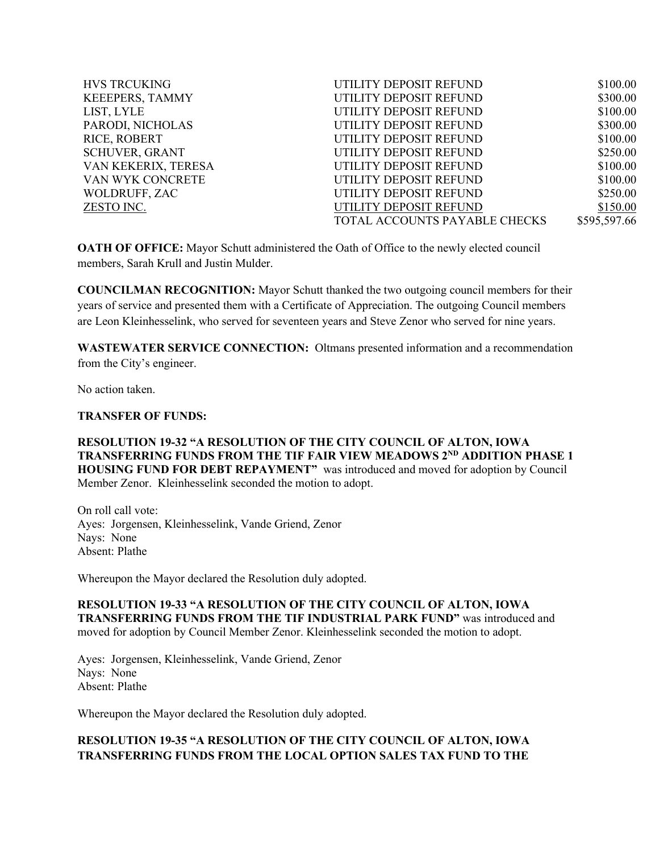| <b>HVS TRCUKING</b>    | UTILITY DEPOSIT REFUND        | \$100.00     |
|------------------------|-------------------------------|--------------|
| <b>KEEEPERS, TAMMY</b> | UTILITY DEPOSIT REFUND        | \$300.00     |
| LIST, LYLE             | UTILITY DEPOSIT REFUND        | \$100.00     |
| PARODI, NICHOLAS       | UTILITY DEPOSIT REFUND        | \$300.00     |
| <b>RICE, ROBERT</b>    | UTILITY DEPOSIT REFUND        | \$100.00     |
| <b>SCHUVER, GRANT</b>  | UTILITY DEPOSIT REFUND        | \$250.00     |
| VAN KEKERIX, TERESA    | UTILITY DEPOSIT REFUND        | \$100.00     |
| VAN WYK CONCRETE       | UTILITY DEPOSIT REFUND        | \$100.00     |
| <b>WOLDRUFF, ZAC</b>   | UTILITY DEPOSIT REFUND        | \$250.00     |
| ZESTO INC.             | UTILITY DEPOSIT REFUND        | \$150.00     |
|                        | TOTAL ACCOUNTS PAYABLE CHECKS | \$595,597.66 |
|                        |                               |              |

**OATH OF OFFICE:** Mayor Schutt administered the Oath of Office to the newly elected council members, Sarah Krull and Justin Mulder.

**COUNCILMAN RECOGNITION:** Mayor Schutt thanked the two outgoing council members for their years of service and presented them with a Certificate of Appreciation. The outgoing Council members are Leon Kleinhesselink, who served for seventeen years and Steve Zenor who served for nine years.

**WASTEWATER SERVICE CONNECTION:** Oltmans presented information and a recommendation from the City's engineer.

No action taken.

### **TRANSFER OF FUNDS:**

**RESOLUTION 19-32 "A RESOLUTION OF THE CITY COUNCIL OF ALTON, IOWA TRANSFERRING FUNDS FROM THE TIF FAIR VIEW MEADOWS 2ND ADDITION PHASE 1 HOUSING FUND FOR DEBT REPAYMENT"** was introduced and moved for adoption by Council Member Zenor. Kleinhesselink seconded the motion to adopt.

On roll call vote: Ayes: Jorgensen, Kleinhesselink, Vande Griend, Zenor Nays: None Absent: Plathe

Whereupon the Mayor declared the Resolution duly adopted.

## **RESOLUTION 19-33 "A RESOLUTION OF THE CITY COUNCIL OF ALTON, IOWA TRANSFERRING FUNDS FROM THE TIF INDUSTRIAL PARK FUND"** was introduced and moved for adoption by Council Member Zenor. Kleinhesselink seconded the motion to adopt.

Ayes: Jorgensen, Kleinhesselink, Vande Griend, Zenor Nays: None Absent: Plathe

Whereupon the Mayor declared the Resolution duly adopted.

# **RESOLUTION 19-35 "A RESOLUTION OF THE CITY COUNCIL OF ALTON, IOWA TRANSFERRING FUNDS FROM THE LOCAL OPTION SALES TAX FUND TO THE**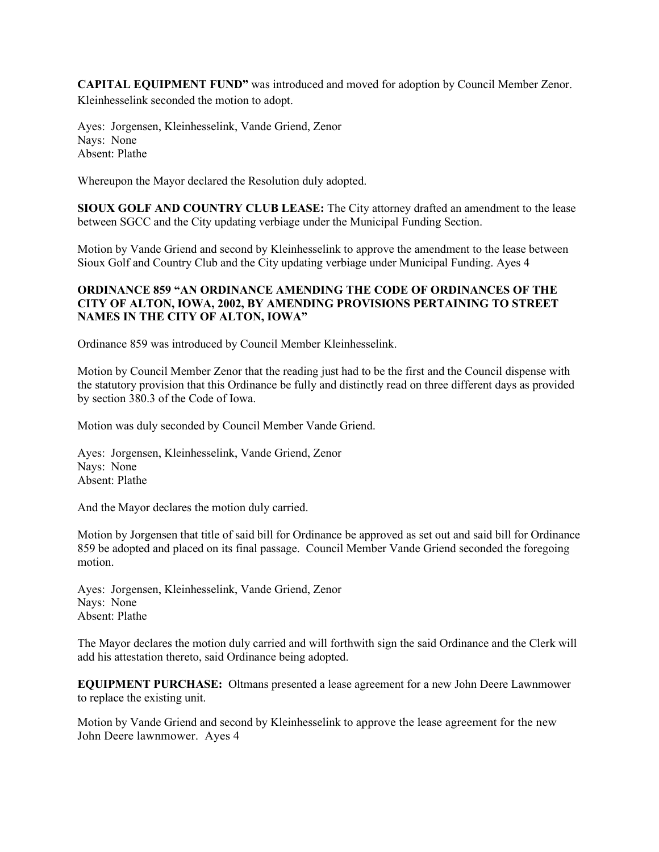**CAPITAL EQUIPMENT FUND"** was introduced and moved for adoption by Council Member Zenor. Kleinhesselink seconded the motion to adopt.

Ayes: Jorgensen, Kleinhesselink, Vande Griend, Zenor Nays: None Absent: Plathe

Whereupon the Mayor declared the Resolution duly adopted.

**SIOUX GOLF AND COUNTRY CLUB LEASE:** The City attorney drafted an amendment to the lease between SGCC and the City updating verbiage under the Municipal Funding Section.

Motion by Vande Griend and second by Kleinhesselink to approve the amendment to the lease between Sioux Golf and Country Club and the City updating verbiage under Municipal Funding. Ayes 4

# **ORDINANCE 859 "AN ORDINANCE AMENDING THE CODE OF ORDINANCES OF THE CITY OF ALTON, IOWA, 2002, BY AMENDING PROVISIONS PERTAINING TO STREET NAMES IN THE CITY OF ALTON, IOWA"**

Ordinance 859 was introduced by Council Member Kleinhesselink.

Motion by Council Member Zenor that the reading just had to be the first and the Council dispense with the statutory provision that this Ordinance be fully and distinctly read on three different days as provided by section 380.3 of the Code of Iowa.

Motion was duly seconded by Council Member Vande Griend.

Ayes: Jorgensen, Kleinhesselink, Vande Griend, Zenor Nays: None Absent: Plathe

And the Mayor declares the motion duly carried.

Motion by Jorgensen that title of said bill for Ordinance be approved as set out and said bill for Ordinance 859 be adopted and placed on its final passage. Council Member Vande Griend seconded the foregoing motion.

Ayes: Jorgensen, Kleinhesselink, Vande Griend, Zenor Nays: None Absent: Plathe

The Mayor declares the motion duly carried and will forthwith sign the said Ordinance and the Clerk will add his attestation thereto, said Ordinance being adopted.

**EQUIPMENT PURCHASE:** Oltmans presented a lease agreement for a new John Deere Lawnmower to replace the existing unit.

Motion by Vande Griend and second by Kleinhesselink to approve the lease agreement for the new John Deere lawnmower. Ayes 4